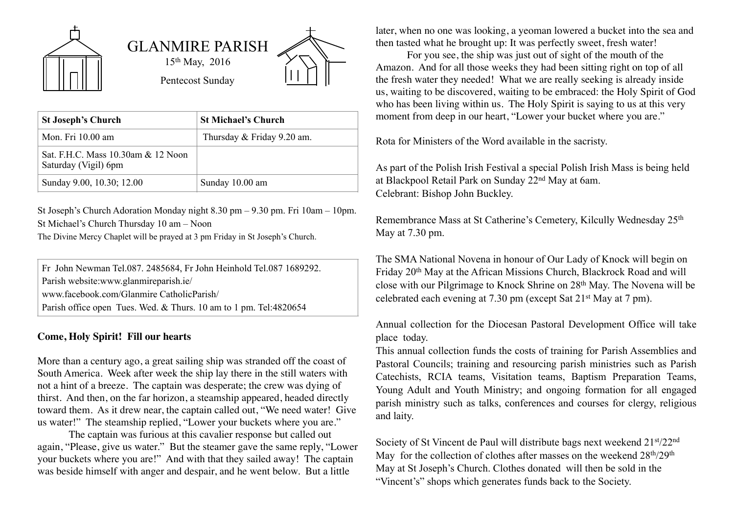

| <b>St Joseph's Church</b>                                  | <b>St Michael's Church</b> |
|------------------------------------------------------------|----------------------------|
| Mon. Fri 10.00 am                                          | Thursday & Friday 9.20 am. |
| Sat. F.H.C. Mass 10.30am & 12 Noon<br>Saturday (Vigil) 6pm |                            |
| Sunday 9.00, 10.30; 12.00                                  | Sunday 10.00 am            |

St Joseph's Church Adoration Monday night 8.30 pm – 9.30 pm. Fri 10am – 10pm. St Michael's Church Thursday 10 am – Noon

The Divine Mercy Chaplet will be prayed at 3 pm Friday in St Joseph's Church.

Fr John Newman Tel.087. 2485684, Fr John Heinhold Tel.087 1689292. Parish website:www.glanmireparish.ie/ www.facebook.com/Glanmire CatholicParish/ Parish office open Tues. Wed. & Thurs. 10 am to 1 pm. Tel:4820654

## **Come, Holy Spirit! Fill our hearts**

More than a century ago, a great sailing ship was stranded off the coast of South America. Week after week the ship lay there in the still waters with not a hint of a breeze. The captain was desperate; the crew was dying of thirst. And then, on the far horizon, a steamship appeared, headed directly toward them. As it drew near, the captain called out, "We need water! Give us water!" The steamship replied, "Lower your buckets where you are."

The captain was furious at this cavalier response but called out again, "Please, give us water." But the steamer gave the same reply, "Lower your buckets where you are!" And with that they sailed away! The captain was beside himself with anger and despair, and he went below. But a little

later, when no one was looking, a yeoman lowered a bucket into the sea and then tasted what he brought up: It was perfectly sweet, fresh water!

For you see, the ship was just out of sight of the mouth of the Amazon. And for all those weeks they had been sitting right on top of all the fresh water they needed! What we are really seeking is already inside us, waiting to be discovered, waiting to be embraced: the Holy Spirit of God who has been living within us. The Holy Spirit is saying to us at this very moment from deep in our heart, "Lower your bucket where you are."

Rota for Ministers of the Word available in the sacristy.

As part of the Polish Irish Festival a special Polish Irish Mass is being held at Blackpool Retail Park on Sunday 22nd May at 6am. Celebrant: Bishop John Buckley.

Remembrance Mass at St Catherine's Cemetery, Kilcully Wednesday 25th May at 7.30 pm.

The SMA National Novena in honour of Our Lady of Knock will begin on Friday 20th May at the African Missions Church, Blackrock Road and will close with our Pilgrimage to Knock Shrine on 28th May. The Novena will be celebrated each evening at 7.30 pm (except Sat 21st May at 7 pm).

Annual collection for the Diocesan Pastoral Development Office will take place today.

This annual collection funds the costs of training for Parish Assemblies and Pastoral Councils; training and resourcing parish ministries such as Parish Catechists, RCIA teams, Visitation teams, Baptism Preparation Teams, Young Adult and Youth Ministry; and ongoing formation for all engaged parish ministry such as talks, conferences and courses for clergy, religious and laity.

Society of St Vincent de Paul will distribute bags next weekend 21st/22nd May for the collection of clothes after masses on the weekend  $28<sup>th</sup>/29<sup>th</sup>$ May at St Joseph's Church. Clothes donated will then be sold in the "Vincent's" shops which generates funds back to the Society.